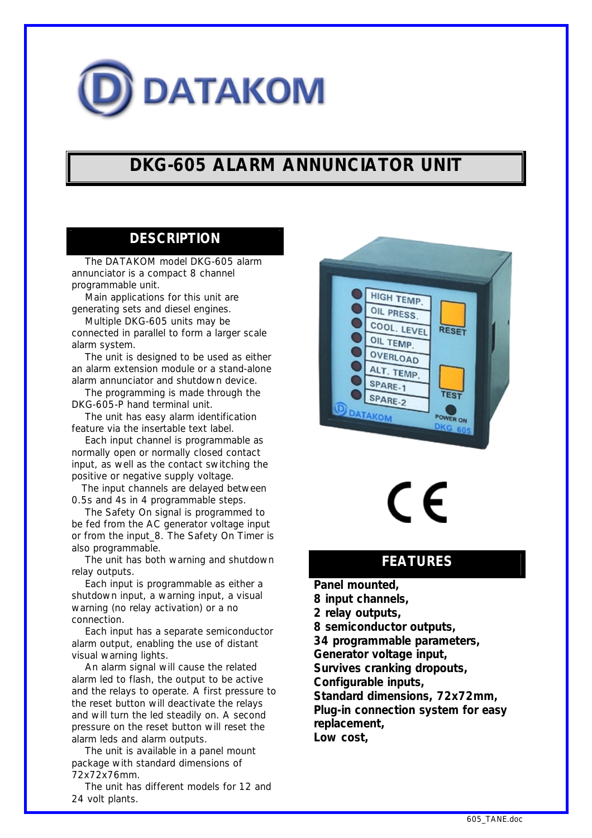

## **DKG-605 ALARM ANNUNCIATOR UNIT**

## **DESCRIPTION**

 The DATAKOM model DKG-605 alarm annunciator is a compact 8 channel programmable unit.

 Main applications for this unit are generating sets and diesel engines.

 Multiple DKG-605 units may be connected in parallel to form a larger scale alarm system.

 The unit is designed to be used as either an alarm extension module or a stand-alone alarm annunciator and shutdown device.

 The programming is made through the DKG-605-P hand terminal unit.

 The unit has easy alarm identification feature via the insertable text label.

 Each input channel is programmable as normally open or normally closed contact input, as well as the contact switching the positive or negative supply voltage.

 The input channels are delayed between 0.5s and 4s in 4 programmable steps.

 The Safety On signal is programmed to be fed from the AC generator voltage input or from the input\_8. The Safety On Timer is also programmable.

 The unit has both warning and shutdown relay outputs.

 Each input is programmable as either a shutdown input, a warning input, a visual warning (no relay activation) or a no connection.

 Each input has a separate semiconductor alarm output, enabling the use of distant visual warning lights.

 An alarm signal will cause the related alarm led to flash, the output to be active and the relays to operate. A first pressure to the reset button will deactivate the relays and will turn the led steadily on. A second pressure on the reset button will reset the alarm leds and alarm outputs.

 The unit is available in a panel mount package with standard dimensions of 72x72x76mm.

 The unit has different models for 12 and 24 volt plants.



# $\mathsf{\Gamma}\in$

## **FEATURES**

*Panel mounted, 8 input channels, 2 relay outputs, 8 semiconductor outputs, 34 programmable parameters, Generator voltage input, Survives cranking dropouts,* *Configurable inputs, Standard dimensions, 72x72mm, Plug-in connection system for easy replacement, Low cost,*